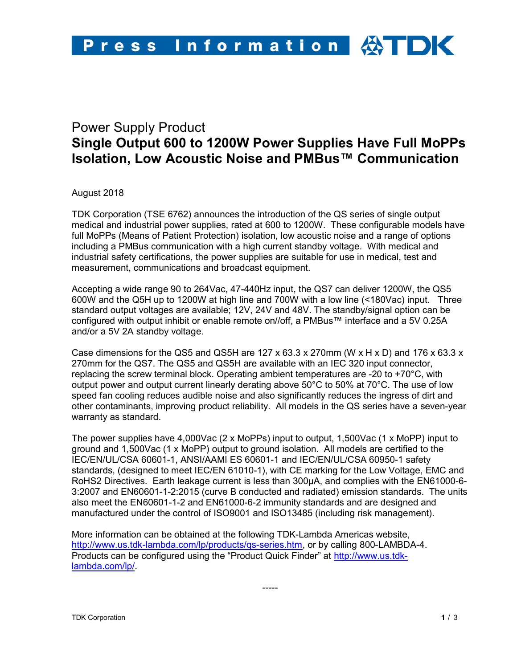# Power Supply Product Single Output 600 to 1200W Power Supplies Have Full MoPPs Isolation, Low Acoustic Noise and PMBus™ Communication

August 2018

TDK Corporation (TSE 6762) announces the introduction of the QS series of single output medical and industrial power supplies, rated at 600 to 1200W. These configurable models have full MoPPs (Means of Patient Protection) isolation, low acoustic noise and a range of options including a PMBus communication with a high current standby voltage. With medical and industrial safety certifications, the power supplies are suitable for use in medical, test and measurement, communications and broadcast equipment.

Accepting a wide range 90 to 264Vac, 47-440Hz input, the QS7 can deliver 1200W, the QS5 600W and the Q5H up to 1200W at high line and 700W with a low line (<180Vac) input. Three standard output voltages are available; 12V, 24V and 48V. The standby/signal option can be configured with output inhibit or enable remote on//off, a PMBus™ interface and a 5V 0.25A and/or a 5V 2A standby voltage.

Case dimensions for the QS5 and QS5H are  $127 \times 63.3 \times 270$  mm (W  $\times$  H  $\times$  D) and 176  $\times$  63.3  $\times$ 270mm for the QS7. The QS5 and QS5H are available with an IEC 320 input connector, replacing the screw terminal block. Operating ambient temperatures are -20 to +70°C, with output power and output current linearly derating above 50°C to 50% at 70°C. The use of low speed fan cooling reduces audible noise and also significantly reduces the ingress of dirt and other contaminants, improving product reliability. All models in the QS series have a seven-year warranty as standard.

The power supplies have 4,000Vac (2 x MoPPs) input to output, 1,500Vac (1 x MoPP) input to ground and 1,500Vac (1 x MoPP) output to ground isolation. All models are certified to the IEC/EN/UL/CSA 60601-1, ANSI/AAMI ES 60601-1 and IEC/EN/UL/CSA 60950-1 safety standards, (designed to meet IEC/EN 61010-1), with CE marking for the Low Voltage, EMC and RoHS2 Directives. Earth leakage current is less than 300µA, and complies with the EN61000-6- 3:2007 and EN60601-1-2:2015 (curve B conducted and radiated) emission standards. The units also meet the EN60601-1-2 and EN61000-6-2 immunity standards and are designed and manufactured under the control of ISO9001 and ISO13485 (including risk management).

-----

More information can be obtained at the following TDK-Lambda Americas website, http://www.us.tdk-lambda.com/lp/products/qs-series.htm, or by calling 800-LAMBDA-4. Products can be configured using the "Product Quick Finder" at http://www.us.tdklambda.com/lp/.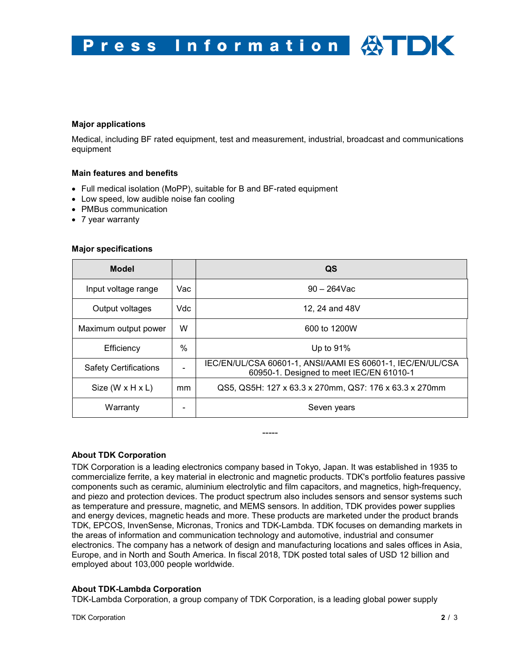

#### Major applications

Medical, including BF rated equipment, test and measurement, industrial, broadcast and communications equipment

#### Main features and benefits

- Full medical isolation (MoPP), suitable for B and BF-rated equipment
- Low speed, low audible noise fan cooling
- PMBus communication
- 7 year warranty

#### Major specifications

| <b>Model</b>                 |               | QS                                                                                                     |  |
|------------------------------|---------------|--------------------------------------------------------------------------------------------------------|--|
| Input voltage range          | Vac           | $90 - 264$ Vac                                                                                         |  |
| Output voltages              | Vdc.          | 12, 24 and 48V                                                                                         |  |
| Maximum output power         | W             | 600 to 1200W                                                                                           |  |
| Efficiency                   | $\frac{0}{0}$ | Up to 91%                                                                                              |  |
| <b>Safety Certifications</b> |               | IEC/EN/UL/CSA 60601-1, ANSI/AAMI ES 60601-1, IEC/EN/UL/CSA<br>60950-1. Designed to meet IEC/EN 61010-1 |  |
| Size (W $x$ H $x$ L)         | mm            | QS5, QS5H: 127 x 63.3 x 270mm, QS7: 176 x 63.3 x 270mm                                                 |  |
| Warranty                     |               | Seven years                                                                                            |  |

## About TDK Corporation

TDK Corporation is a leading electronics company based in Tokyo, Japan. It was established in 1935 to commercialize ferrite, a key material in electronic and magnetic products. TDK's portfolio features passive components such as ceramic, aluminium electrolytic and film capacitors, and magnetics, high-frequency, and piezo and protection devices. The product spectrum also includes sensors and sensor systems such as temperature and pressure, magnetic, and MEMS sensors. In addition, TDK provides power supplies and energy devices, magnetic heads and more. These products are marketed under the product brands TDK, EPCOS, InvenSense, Micronas, Tronics and TDK-Lambda. TDK focuses on demanding markets in the areas of information and communication technology and automotive, industrial and consumer electronics. The company has a network of design and manufacturing locations and sales offices in Asia, Europe, and in North and South America. In fiscal 2018, TDK posted total sales of USD 12 billion and employed about 103,000 people worldwide.

-----

## About TDK-Lambda Corporation

TDK-Lambda Corporation, a group company of TDK Corporation, is a leading global power supply